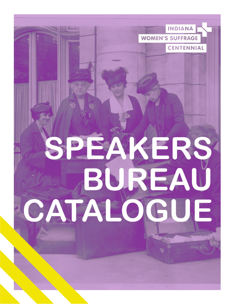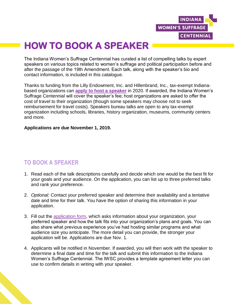

# **HOW TO BOOK A SPEAKER**

The Indiana Women's Suffrage Centennial has curated a list of compelling talks by expert speakers on various topics related to women's suffrage and political participation before and after the passage of the 19th Amendment. Each talk, along with the speaker's bio and contact information, is included in this catalogue.

Thanks to funding from the Lilly Endowment, Inc. and Hillenbrand, Inc., tax-exempt Indianabased organizations can **[apply to host a speaker](https://indianahumanities.wufoo.com/forms/zs34yh511wi0ny/)** in 2020. If awarded, the Indiana Women's Suffrage Centennial will cover the speaker's fee; host organizations are asked to offer the cost of travel to their organization (though some speakers may choose not to seek reimbursement for travel costs). Speakers bureau talks are open to any tax-exempt organization including schools, libraries, history organization, museums, community centers and more.

#### **Applications are due November 1, 2019.**

#### **TO BOOK A SPEAKER**

- 1. Read each of the talk descriptions carefully and decide which one would be the best fit for your goals and your audience. On the application, you can list up to three preferred talks and rank your preference.
- 2. *Optional:* Contact your preferred speaker and determine their availability and a tentative date and time for their talk. You have the option of sharing this information in your application.
- 3. Fill out the [application form,](https://indianahumanities.wufoo.com/forms/zs34yh511wi0ny/) which asks information about your organization, your preferred speaker and how the talk fits into your organization's plans and goals. You can also share what previous experience you've had hosting similar programs and what audience size you anticipate. The more detail you can provide, the stronger your application will be. Applications are due Nov. 1.
- 4. Applicants will be notified in November. If awarded, you will then work with the speaker to determine a final date and time for the talk and submit this information to the Indiana Women's Suffrage Centennial. The IWSC provides a template agreement letter you can use to confirm details in writing with your speaker.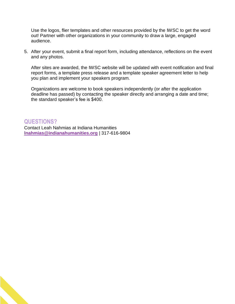Use the logos, flier templates and other resources provided by the IWSC to get the word out! Partner with other organizations in your community to draw a large, engaged audience.

5. After your event, submit a final report form, including attendance, reflections on the event and any photos.

After sites are awarded, the IWSC website will be updated with event notification and final report forms, a template press release and a template speaker agreement letter to help you plan and implement your speakers program.

Organizations are welcome to book speakers independently (or after the application deadline has passed) by contacting the speaker directly and arranging a date and time; the standard speaker's fee is \$400.

#### **QUESTIONS?**

Contact Leah Nahmias at Indiana Humanities **[lnahmias@indianahumanities.org](mailto:lnahmias@indianahumanities.org)** | 317-616-9804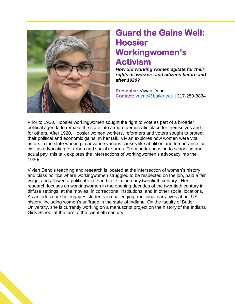

#### **Guard the Gains Well: Hoosier Workingwomen's Activism**

*How did working women agitate for their rights as workers and citizens before and after 1920?*

**Presenter:** Vivian Deno **Contact:** [vdeno@butler.edu](mailto:vdeno@butler.edu) | 317-250-8834

Prior to 1920, Hoosier workingwomen sought the right to vote as part of a broader political agenda to remake the state into a more democratic place for themselves and for others. After 1920, Hoosier women workers, reformers and voters sought to protect their political and economic gains. In her talk, Vivian explores how women were vital actors in the state working to advance various causes like abolition and temperance, as well as advocating for urban and social reforms. From better housing to schooling and equal pay, this talk explores the intersections of workingwomen's advocacy into the 1930s.

Vivian Deno's teaching and research is located at the intersection of women's history and class politics where workingwomen struggled to be respected on the job, paid a fair wage, and allowed a political voice and vote in the early twentieth century. Her research focuses on workingwomen in the opening decades of the twentieth century in diffuse settings: at the movies, in correctional institutions, and in other social locations. As an educator she engages students in challenging traditional narratives about US history, including women's suffrage in the state of Indiana. On the faculty of Butler University, she is currently working on a manuscript project on the history of the Indiana Girls School at the turn of the twentieth century.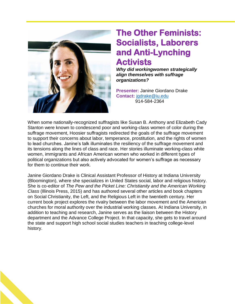

#### **The Other Feminists: Socialists, Laborers and Anti-Lynching Activists**

*Why did workingwomen strategically align themselves with suffrage organizations?* 

**Presenter:** Janine Giordano Drake **Contact:** [jgdrake@iu.edu](mailto:jgdrake@iu.edu) 914-584-2364

When some nationally-recognized suffragists like Susan B. Anthony and Elizabeth Cady Stanton were known to condescend poor and working-class women of color during the suffrage movement, Hoosier suffragists redirected the goals of the suffrage movement to support their concerns about labor, temperance, prostitution, and the rights of women to lead churches. Janine's talk illuminates the resiliency of the suffrage movement and its tensions along the lines of class and race. Her stories illuminate working-class white women, immigrants and African American women who worked in different types of political organizations but also actively advocated for women's suffrage as necessary for them to continue their work.

Janine Giordano Drake is Clinical Assistant Professor of History at Indiana University (Bloomington), where she specializes in United States social, labor and religious history. She is co-editor of *The Pew and the Picket Line: Christianity and the American Working Class* (Illinois Press, 2015) and has authored several other articles and book chapters on Social Christianity, the Left, and the Religious Left in the twentieth century. Her current book project explores the rivalry between the labor movement and the American churches for moral authority over the industrial working classes. At Indiana University, in addition to teaching and research, Janine serves as the liaison between the History department and the Advance College Project. In that capacity, she gets to travel around the state and support high school social studies teachers in teaching college-level history.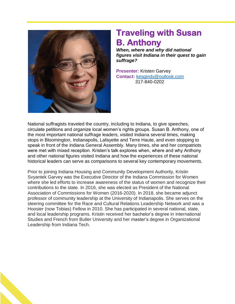

### **Traveling with Susan B. Anthony**

*When, where and why did national figures visit Indiana in their quest to gain suffrage?*

**Presenter:** Kristen Garvey **Contact:** [kesgindy@outlook.com](mailto:kesgindy@outlook.com) 317-840-0202

National suffragists traveled the country, including to Indiana, to give speeches, circulate petitions and organize local women's rights groups. Susan B. Anthony, one of the most important national suffrage leaders, visited Indiana several times, making stops in Bloomington, Indianapolis, Lafayette and Terre Haute, and even stopping to speak in front of the Indiana General Assembly. Many times, she and her compatriots were met with mixed reception. Kristen's talk explores when, where and why Anthony and other national figures visited Indiana and how the experiences of these national historical leaders can serve as comparisons to several key contemporary movements.

Prior to joining Indiana Housing and Community Development Authority, Kristin Svyantek Garvey was the Executive Director of the Indiana Commission for Women where she led efforts to increase awareness of the status of women and recognize their contributions to the state. In 2016, she was elected as President of the National Association of Commissions for Women (2016-2020). In 2018, she became adjunct professor of community leadership at the University of Indianapolis. She serves on the steering committee for the Race and Cultural Relations Leadership Network and was a Hoosier (now Tobias) Fellow in 2010. She has participated in several national, state, and local leadership programs. Kristin received her bachelor's degree in International Studies and French from Butler University and her master's degree in Organizational Leadership from Indiana Tech.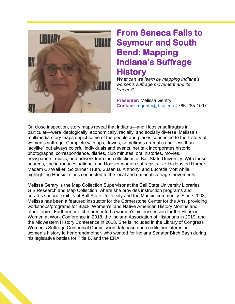

### **From Seneca Falls to Seymour and South Bend: Mapping Indiana's Suffrage History**

*What can we learn by mapping Indiana's women's suffrage movement and its leaders?*

**Presenter:** Melissa Gentry **Contact:** [mgentry@bsu.edu](mailto:mgentry@bsu.edu) | 765-285-1097

On close inspection, story maps reveal that Indiana—and Hoosier suffragists in particular—were ideologically, economically, racially, and socially diverse. Melissa's multimedia story maps depict some of the people and places connected to the history of women's suffrage. Complete with ups, downs, sometimes dramatic and "less than ladylike" but always colorful individuals and events, her talk incorporates historic photographs, correspondence, diaries, club minutes, oral histories, movies, newspapers, music, and artwork from the collections of Ball State University. With these sources, she introduces national and Hoosier women suffragists like Ida Husted Harper, Madam CJ Walker, Sojourner Truth, Susan B. Anthony, and Lucretia Mott while highlighting Hoosier cities connected to the local and national suffrage movements.

Melissa Gentry is the Map Collection Supervisor at the Ball State University Libraries' GIS Research and Map Collection, where she provides instruction programs and curates special exhibits at Ball State University and the Muncie community. Since 2008, Melissa has been a featured instructor for the Cornerstone Center for the Arts, providing workshops/programs for Black, Women's, and Native American History Months and other topics. Furthermore, she presented a women's history session for the Hoosier Women at Work Conference in 2018, the Indiana Association of Historians in 2019, and the Midwestern History Conference in 2018. She is included in the Library of Congress Women's Suffrage Centennial Commission database and credits her interest in women's history to her grandmother, who worked for Indiana Senator Birch Bayh during his legislative battles for Title IX and the ERA.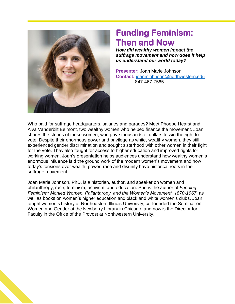

### **Funding Feminism: Then and Now**

*How did wealthy women impact the suffrage movement and how does it help us understand our world today?*

**Presenter:** Joan Marie Johnson **Contact:** [joanmjohnson@northwestern.edu](mailto:joanmjohnson@northwestern.edu)847-467-7565

Who paid for suffrage headquarters, salaries and parades? Meet Phoebe Hearst and Alva Vanderbilt Belmont, two wealthy women who helped finance the movement. Joan shares the stories of these women, who gave thousands of dollars to win the right to vote. Despite their enormous power and privilege as white, wealthy women, they still experienced gender discrimination and sought sisterhood with other women in their fight for the vote. They also fought for access to higher education and improved rights for working women. Joan's presentation helps audiences understand how wealthy women's enormous influence laid the ground work of the modern women's movement and how today's tensions over wealth, power, race and disunity have historical roots in the suffrage movement.

Joan Marie Johnson, PhD, is a historian, author, and speaker on women and philanthropy, race, feminism, activism, and education. She is the author of *Funding Feminism: Monied Women, Philanthropy, and the Women's Movement, 1870-1967*, as well as books on women's higher education and black and white women's clubs. Joan taught women's history at Northeastern Illinois University, co-founded the Seminar on Women and Gender at the Newberry Library in Chicago, and now is the Director for Faculty in the Office of the Provost at Northwestern University.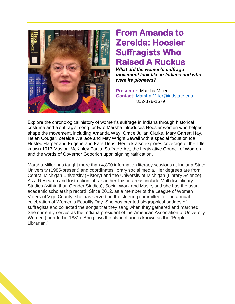

## **From Amanda to Zerelda: Hoosier Suffragists Who Raised A Ruckus**

*What did the women's suffrage movement look like in Indiana and who were its pioneers?*

**Presenter:** Marsha Miller **Contact:** [Marsha.Miller@indstate.edu](mailto:Marsha.Miller@indstate.edu) 812-878-1679

Explore the chronological history of women's suffrage in Indiana through historical costume and a suffragist song, or two! Marsha introduces Hoosier women who helped shape the movement, including Amanda Way, Grace Julian Clarke, Mary Garrett Hay, Helen Cougar, Zerelda Wallace and May Wright Sewall with a special focus on Ida Husted Harper and Eugene and Kate Debs. Her talk also explores coverage of the little known 1917 Maston-McKinley Partial Suffrage Act, the Legislative Council of Women and the words of Governor Goodrich upon signing ratification.

Marsha Miller has taught more than 4,800 information literacy sessions at Indiana State University (1985-present) and coordinates library social media. Her degrees are from Central Michigan University (History) and the University of Michigan (Library Science). As a Research and Instruction Librarian her liaison areas include Multidisciplinary Studies (within that, Gender Studies), Social Work and Music, and she has the usual academic scholarship record. Since 2012, as a member of the League of Women Voters of Vigo County, she has served on the steering committee for the annual celebration of Women's Equality Day. She has created biographical badges of suffragists and collected the songs that they sang when they gathered and marched. She currently serves as the Indiana president of the American Association of University Women (founded in 1881). She plays the clarinet and is known as the "Purple Librarian."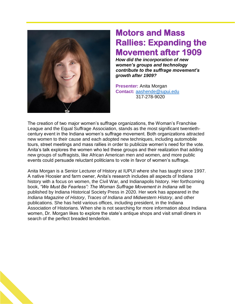

### **Motors and Mass Rallies: Expanding the Movement after 1909**

*How did the incorporation of new women's groups and technology contribute to the suffrage movement's growth after 1909?* 

**Presenter:** Anita Morgan **Contact:** [aashende@iupui.edu](mailto:aashende@iupui.edu)  317-278-9020

The creation of two major women's suffrage organizations, the Woman's Franchise League and the Equal Suffrage Association, stands as the most significant twentiethcentury event in the Indiana women's suffrage movement. Both organizations attracted new women to their cause and each adopted new techniques, including automobile tours, street meetings and mass rallies in order to publicize women's need for the vote. Anita's talk explores the women who led these groups and their realization that adding new groups of suffragists, like African American men and women, and more public events could persuade reluctant politicians to vote in favor of women's suffrage.

Anita Morgan is a Senior Lecturer of History at IUPUI where she has taught since 1997. A native Hoosier and farm owner, Anita's research includes all aspects of Indiana history with a focus on women, the Civil War, and Indianapolis history. Her forthcoming book, *"We Must Be Fearless": The Woman Suffrage Movement in Indiana* will be published by Indiana Historical Society Press in 2020. Her work has appeared in the *Indiana Magazine of History*, *Traces of Indiana and Midwestern History*, and other publications. She has held various offices, including president, in the Indiana Association of Historians. When she is not searching for more information about Indiana women, Dr. Morgan likes to explore the state's antique shops and visit small diners in search of the perfect breaded tenderloin.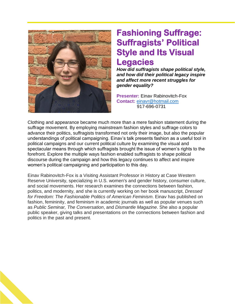

#### **Fashioning Suffrage: Suffragists' Political Style and Its Visual Legacies**

*How did suffragists shape political style, and how did their political legacy inspire and affect more recent struggles for gender equality?*

**Presenter:** Einav Rabinovitch-Fox **Contact:** [einavr@hotmail.com](mailto:einavr@hotmail.com)  917-696-0731

Clothing and appearance became much more than a mere fashion statement during the suffrage movement. By employing mainstream fashion styles and suffrage colors to advance their politics, suffragists transformed not only their image, but also the popular understandings of political campaigning. Einav's talk presents fashion as a useful tool in political campaigns and our current political culture by examining the visual and spectacular means through which suffragists brought the issue of women's rights to the forefront. Explore the multiple ways fashion enabled suffragists to shape political discourse during the campaign and how this legacy continues to affect and inspire women's political campaigning and participation to this day.

Einav Rabinovitch-Fox is a Visiting Assistant Professor in History at Case Western Reserve University, specializing in U.S. women's and gender history, consumer culture, and social movements. Her research examines the connections between fashion, politics, and modernity, and she is currently working on her book manuscript, *Dressed for Freedom: The Fashionable Politics of American Feminism*. Einav has published on fashion, femininity, and feminism in academic journals as well as popular venues such as *Public Seminar, The Conversation*, and *Dismantle Magazine*. She also a popular public speaker, giving talks and presentations on the connections between fashion and politics in the past and present.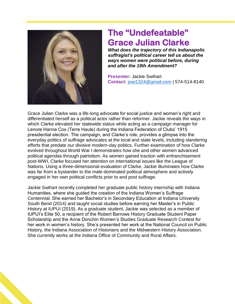

#### **The "Undefeatable" Grace Julian Clarke**

*What does the trajectory of this Indianapolis suffragist's political career tell us about the ways women were political before, during and after the 19th Amendment?* 

**Presenter:** Jackie Swihart **Contact:** [jswi1324@gmail.com](mailto:jswi1324@gmail.com) | 574-514-8140

Grace Julian Clarke was a life-long advocate for social justice and women's right and differentiated herself as a political actor rather than reformer. Jackie reveals the ways in which Clarke elevated her statewide status while acting as a campaign manager for Lenore Hanna Cox (Terre Haute) during the Indiana Federation of Clubs' 1915 presidential election. The campaign, and Clarke's role, provides a glimpse into the everyday politics of suffrage advocates at the local and state levels, including slandering efforts that predate our divisive modern-day politics. Further examination of how Clarke evolved throughout World War I demonstrates how she and other women advanced political agendas through patriotism. As women gained traction with enfranchisement post-WWI, Clarke focused her attention on international issues like the League of Nations. Using a three-dimensional evaluation of Clarke, Jackie illuminates how Clarke was far from a bystander to the male-dominated political atmosphere and actively engaged in her own political conflicts prior to and post suffrage.

Jackie Swihart recently completed her graduate public history internship with Indiana Humanities, where she guided the creation of the Indiana Women's Suffrage Centennial. She earned her Bachelor's in Secondary Education at Indiana University South Bend (2014) and taught social studies before earning her Master's in Public History at IUPUI (2019). As a graduate student, Jackie was selected as a member of IUPUI's Elite 50, a recipient of the Robert Barrows History Graduate Student Paper Scholarship and the Anne Donchin Women's Studies Graduate Research Contest for her work in women's history. She's presented her work at the National Council on Public History, the Indiana Association of Historians and the Midwestern History Association. She currently works at the Indiana Office of Community and Rural Affairs.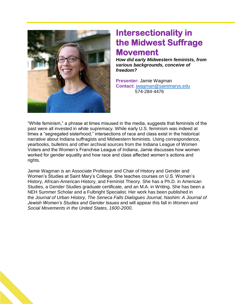

### **Intersectionality in the Midwest Suffrage Movement**

*How did early Midwestern feminists, from various backgrounds, conceive of freedom?*

**Presenter:** Jamie Wagman **Contact:** [jwagman@saintmarys.edu](mailto:jwagman@saintmarys.edu) 574-284-4476

"White feminism," a phrase at times misused in the media, suggests that feminists of the past were all invested in white supremacy. While early U.S. feminism was indeed at times a "segregated sisterhood," intersections of race and class exist in the historical narrative about Indiana suffragists and Midwestern feminists. Using correspondence, yearbooks, bulletins and other archival sources from the Indiana League of Women Voters and the Women's Franchise League of Indiana, Jamie discusses how women worked for gender equality and how race and class affected women's actions and rights.

Jamie Wagman is an Associate Professor and Chair of History and Gender and Women's Studies at Saint Mary's College. She teaches courses on U.S. Women's History, African-American History, and Feminist Theory. She has a Ph.D. in American Studies, a Gender Studies graduate certificate, and an M.A. in Writing. She has been a NEH Summer Scholar and a Fulbright Specialist. Her work has been published in the *Journal of Urban History, The Seneca Falls Dialogues Journal, Nashim: A Journal of Jewish Women's Studies and Gender Issues* and will appear this fall in *Women and Social Movements in the United States, 1600-2000*.